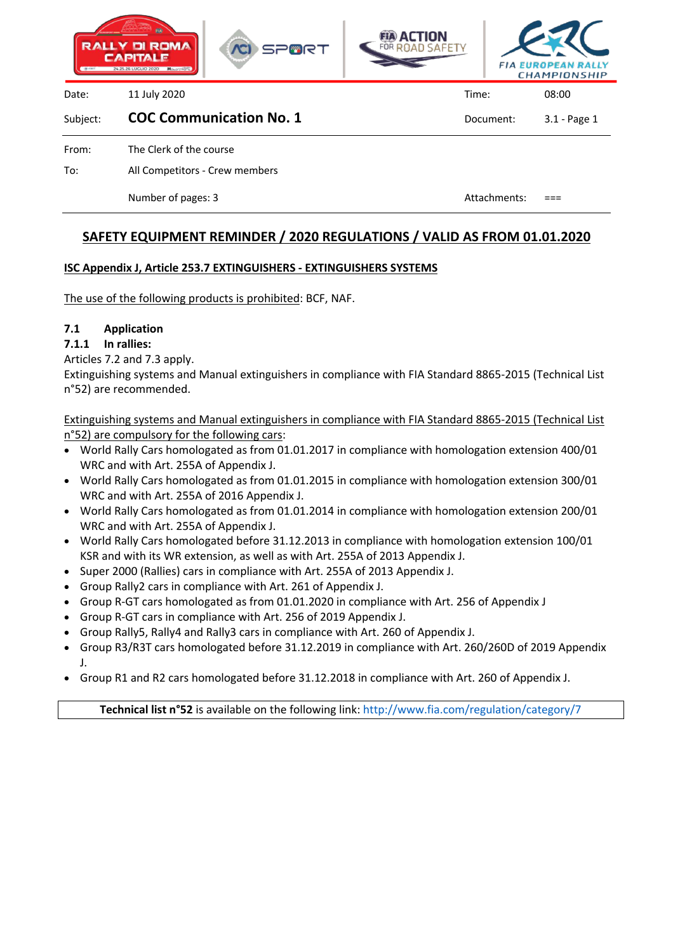





Date: 11 July 2020 Time: 08:00

#### Subject: **COC Communication No. 1** Document: 3.1 - Page 1

From: The Clerk of the course

To: All Competitors - Crew members

Number of pages: 3 Attachments: ===

# **SAFETY EQUIPMENT REMINDER / 2020 REGULATIONS / VALID AS FROM 01.01.2020**

# **ISC Appendix J, Article 253.7 EXTINGUISHERS - EXTINGUISHERS SYSTEMS**

The use of the following products is prohibited: BCF, NAF.

# **7.1 Application**

**7.1.1 In rallies:**

Articles 7.2 and 7.3 apply.

Extinguishing systems and Manual extinguishers in compliance with FIA Standard 8865-2015 (Technical List n°52) are recommended.

Extinguishing systems and Manual extinguishers in compliance with FIA Standard 8865-2015 (Technical List n°52) are compulsory for the following cars:

- World Rally Cars homologated as from 01.01.2017 in compliance with homologation extension 400/01 WRC and with Art. 255A of Appendix J.
- World Rally Cars homologated as from 01.01.2015 in compliance with homologation extension 300/01 WRC and with Art. 255A of 2016 Appendix J.
- World Rally Cars homologated as from 01.01.2014 in compliance with homologation extension 200/01 WRC and with Art. 255A of Appendix J.
- World Rally Cars homologated before 31.12.2013 in compliance with homologation extension 100/01 KSR and with its WR extension, as well as with Art. 255A of 2013 Appendix J.
- Super 2000 (Rallies) cars in compliance with Art. 255A of 2013 Appendix J.
- Group Rally2 cars in compliance with Art. 261 of Appendix J.
- Group R-GT cars homologated as from 01.01.2020 in compliance with Art. 256 of Appendix J
- Group R-GT cars in compliance with Art. 256 of 2019 Appendix J.
- Group Rally5, Rally4 and Rally3 cars in compliance with Art. 260 of Appendix J.
- Group R3/R3T cars homologated before 31.12.2019 in compliance with Art. 260/260D of 2019 Appendix J.
- Group R1 and R2 cars homologated before 31.12.2018 in compliance with Art. 260 of Appendix J.

**Technical list n°52** is available on the following link: http://www.fia.com/regulation/category/7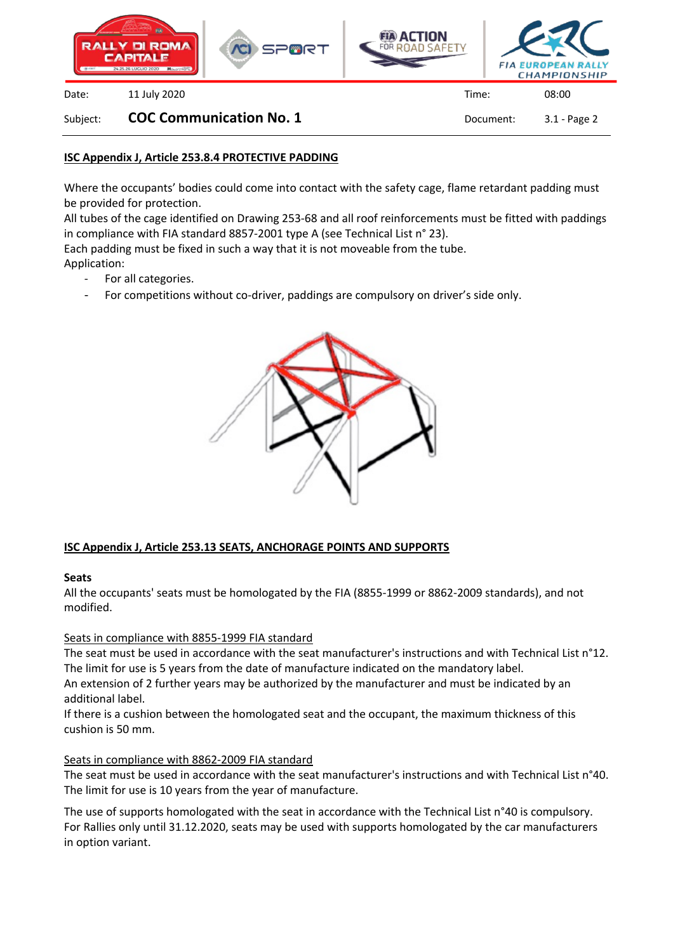





Date: 11 July 2020 Time: 08:00

Subject: **COC Communication No. 1** Document: 3.1 - Page 2

### **ISC Appendix J, Article 253.8.4 PROTECTIVE PADDING**

Where the occupants' bodies could come into contact with the safety cage, flame retardant padding must be provided for protection.

All tubes of the cage identified on Drawing 253-68 and all roof reinforcements must be fitted with paddings in compliance with FIA standard 8857-2001 type A (see Technical List n° 23).

Each padding must be fixed in such a way that it is not moveable from the tube. Application:

- For all categories.
	- For competitions without co-driver, paddings are compulsory on driver's side only.



#### **ISC Appendix J, Article 253.13 SEATS, ANCHORAGE POINTS AND SUPPORTS**

#### **Seats**

All the occupants' seats must be homologated by the FIA (8855-1999 or 8862-2009 standards), and not modified.

#### Seats in compliance with 8855-1999 FIA standard

The seat must be used in accordance with the seat manufacturer's instructions and with Technical List n°12. The limit for use is 5 years from the date of manufacture indicated on the mandatory label.

An extension of 2 further years may be authorized by the manufacturer and must be indicated by an additional label.

If there is a cushion between the homologated seat and the occupant, the maximum thickness of this cushion is 50 mm.

#### Seats in compliance with 8862-2009 FIA standard

The seat must be used in accordance with the seat manufacturer's instructions and with Technical List n°40. The limit for use is 10 years from the year of manufacture.

The use of supports homologated with the seat in accordance with the Technical List n°40 is compulsory. For Rallies only until 31.12.2020, seats may be used with supports homologated by the car manufacturers in option variant.